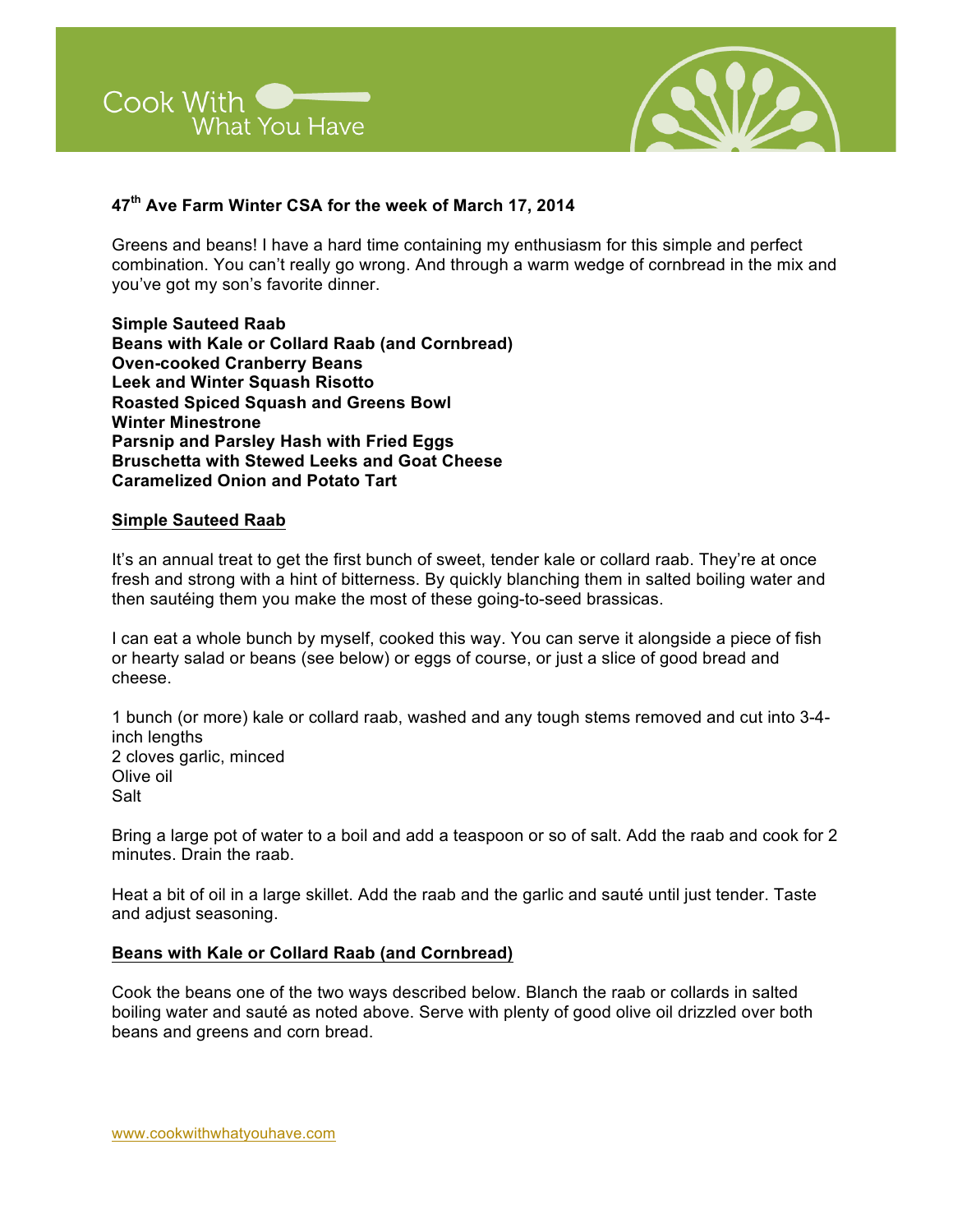



# **47th Ave Farm Winter CSA for the week of March 17, 2014**

Greens and beans! I have a hard time containing my enthusiasm for this simple and perfect combination. You can't really go wrong. And through a warm wedge of cornbread in the mix and you've got my son's favorite dinner.

**Simple Sauteed Raab Beans with Kale or Collard Raab (and Cornbread) Oven-cooked Cranberry Beans Leek and Winter Squash Risotto Roasted Spiced Squash and Greens Bowl Winter Minestrone Parsnip and Parsley Hash with Fried Eggs Bruschetta with Stewed Leeks and Goat Cheese Caramelized Onion and Potato Tart**

#### **Simple Sauteed Raab**

It's an annual treat to get the first bunch of sweet, tender kale or collard raab. They're at once fresh and strong with a hint of bitterness. By quickly blanching them in salted boiling water and then sautéing them you make the most of these going-to-seed brassicas.

I can eat a whole bunch by myself, cooked this way. You can serve it alongside a piece of fish or hearty salad or beans (see below) or eggs of course, or just a slice of good bread and cheese.

1 bunch (or more) kale or collard raab, washed and any tough stems removed and cut into 3-4 inch lengths 2 cloves garlic, minced Olive oil Salt

Bring a large pot of water to a boil and add a teaspoon or so of salt. Add the raab and cook for 2 minutes. Drain the raab.

Heat a bit of oil in a large skillet. Add the raab and the garlic and sauté until just tender. Taste and adjust seasoning.

### **Beans with Kale or Collard Raab (and Cornbread)**

Cook the beans one of the two ways described below. Blanch the raab or collards in salted boiling water and sauté as noted above. Serve with plenty of good olive oil drizzled over both beans and greens and corn bread.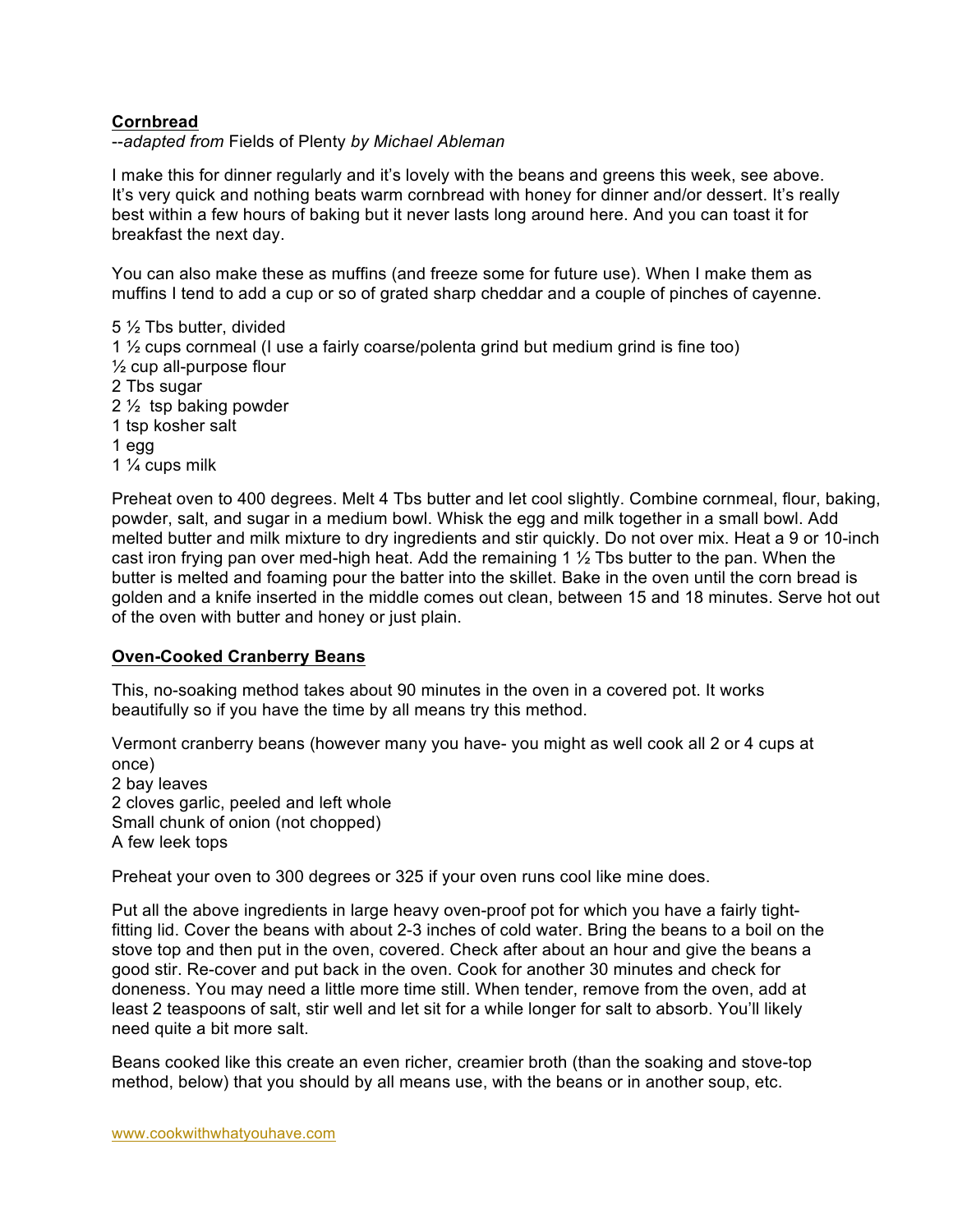# **Cornbread**

--*adapted from* Fields of Plenty *by Michael Ableman*

I make this for dinner regularly and it's lovely with the beans and greens this week, see above. It's very quick and nothing beats warm cornbread with honey for dinner and/or dessert. It's really best within a few hours of baking but it never lasts long around here. And you can toast it for breakfast the next day.

You can also make these as muffins (and freeze some for future use). When I make them as muffins I tend to add a cup or so of grated sharp cheddar and a couple of pinches of cayenne.

5 ½ Tbs butter, divided

1 ½ cups cornmeal (I use a fairly coarse/polenta grind but medium grind is fine too) ½ cup all-purpose flour

- 2 Tbs sugar
- 2 ½ tsp baking powder
- 1 tsp kosher salt
- 1 egg
- 1 ¼ cups milk

Preheat oven to 400 degrees. Melt 4 Tbs butter and let cool slightly. Combine cornmeal, flour, baking, powder, salt, and sugar in a medium bowl. Whisk the egg and milk together in a small bowl. Add melted butter and milk mixture to dry ingredients and stir quickly. Do not over mix. Heat a 9 or 10-inch cast iron frying pan over med-high heat. Add the remaining 1  $\frac{1}{2}$  Tbs butter to the pan. When the butter is melted and foaming pour the batter into the skillet. Bake in the oven until the corn bread is golden and a knife inserted in the middle comes out clean, between 15 and 18 minutes. Serve hot out of the oven with butter and honey or just plain.

### **Oven-Cooked Cranberry Beans**

This, no-soaking method takes about 90 minutes in the oven in a covered pot. It works beautifully so if you have the time by all means try this method.

Vermont cranberry beans (however many you have- you might as well cook all 2 or 4 cups at once) 2 bay leaves 2 cloves garlic, peeled and left whole Small chunk of onion (not chopped) A few leek tops

Preheat your oven to 300 degrees or 325 if your oven runs cool like mine does.

Put all the above ingredients in large heavy oven-proof pot for which you have a fairly tightfitting lid. Cover the beans with about 2-3 inches of cold water. Bring the beans to a boil on the stove top and then put in the oven, covered. Check after about an hour and give the beans a good stir. Re-cover and put back in the oven. Cook for another 30 minutes and check for doneness. You may need a little more time still. When tender, remove from the oven, add at least 2 teaspoons of salt, stir well and let sit for a while longer for salt to absorb. You'll likely need quite a bit more salt.

Beans cooked like this create an even richer, creamier broth (than the soaking and stove-top method, below) that you should by all means use, with the beans or in another soup, etc.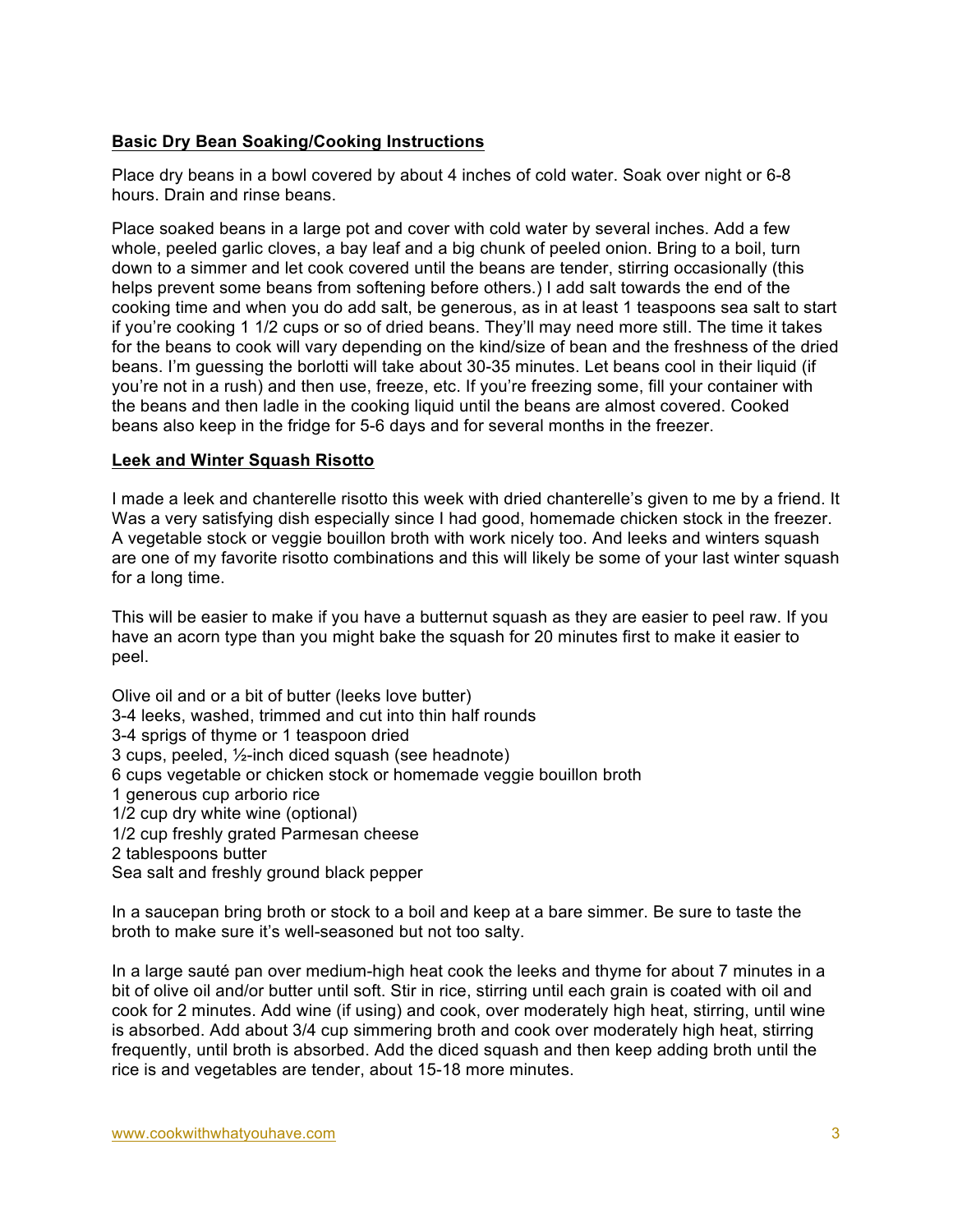# **Basic Dry Bean Soaking/Cooking Instructions**

Place dry beans in a bowl covered by about 4 inches of cold water. Soak over night or 6-8 hours. Drain and rinse beans.

Place soaked beans in a large pot and cover with cold water by several inches. Add a few whole, peeled garlic cloves, a bay leaf and a big chunk of peeled onion. Bring to a boil, turn down to a simmer and let cook covered until the beans are tender, stirring occasionally (this helps prevent some beans from softening before others.) I add salt towards the end of the cooking time and when you do add salt, be generous, as in at least 1 teaspoons sea salt to start if you're cooking 1 1/2 cups or so of dried beans. They'll may need more still. The time it takes for the beans to cook will vary depending on the kind/size of bean and the freshness of the dried beans. I'm guessing the borlotti will take about 30-35 minutes. Let beans cool in their liquid (if you're not in a rush) and then use, freeze, etc. If you're freezing some, fill your container with the beans and then ladle in the cooking liquid until the beans are almost covered. Cooked beans also keep in the fridge for 5-6 days and for several months in the freezer.

### **Leek and Winter Squash Risotto**

I made a leek and chanterelle risotto this week with dried chanterelle's given to me by a friend. It Was a very satisfying dish especially since I had good, homemade chicken stock in the freezer. A vegetable stock or veggie bouillon broth with work nicely too. And leeks and winters squash are one of my favorite risotto combinations and this will likely be some of your last winter squash for a long time.

This will be easier to make if you have a butternut squash as they are easier to peel raw. If you have an acorn type than you might bake the squash for 20 minutes first to make it easier to peel.

Olive oil and or a bit of butter (leeks love butter) 3-4 leeks, washed, trimmed and cut into thin half rounds 3-4 sprigs of thyme or 1 teaspoon dried 3 cups, peeled, ½-inch diced squash (see headnote) 6 cups vegetable or chicken stock or homemade veggie bouillon broth 1 generous cup arborio rice 1/2 cup dry white wine (optional) 1/2 cup freshly grated Parmesan cheese 2 tablespoons butter Sea salt and freshly ground black pepper

In a saucepan bring broth or stock to a boil and keep at a bare simmer. Be sure to taste the broth to make sure it's well-seasoned but not too salty.

In a large sauté pan over medium-high heat cook the leeks and thyme for about 7 minutes in a bit of olive oil and/or butter until soft. Stir in rice, stirring until each grain is coated with oil and cook for 2 minutes. Add wine (if using) and cook, over moderately high heat, stirring, until wine is absorbed. Add about 3/4 cup simmering broth and cook over moderately high heat, stirring frequently, until broth is absorbed. Add the diced squash and then keep adding broth until the rice is and vegetables are tender, about 15-18 more minutes.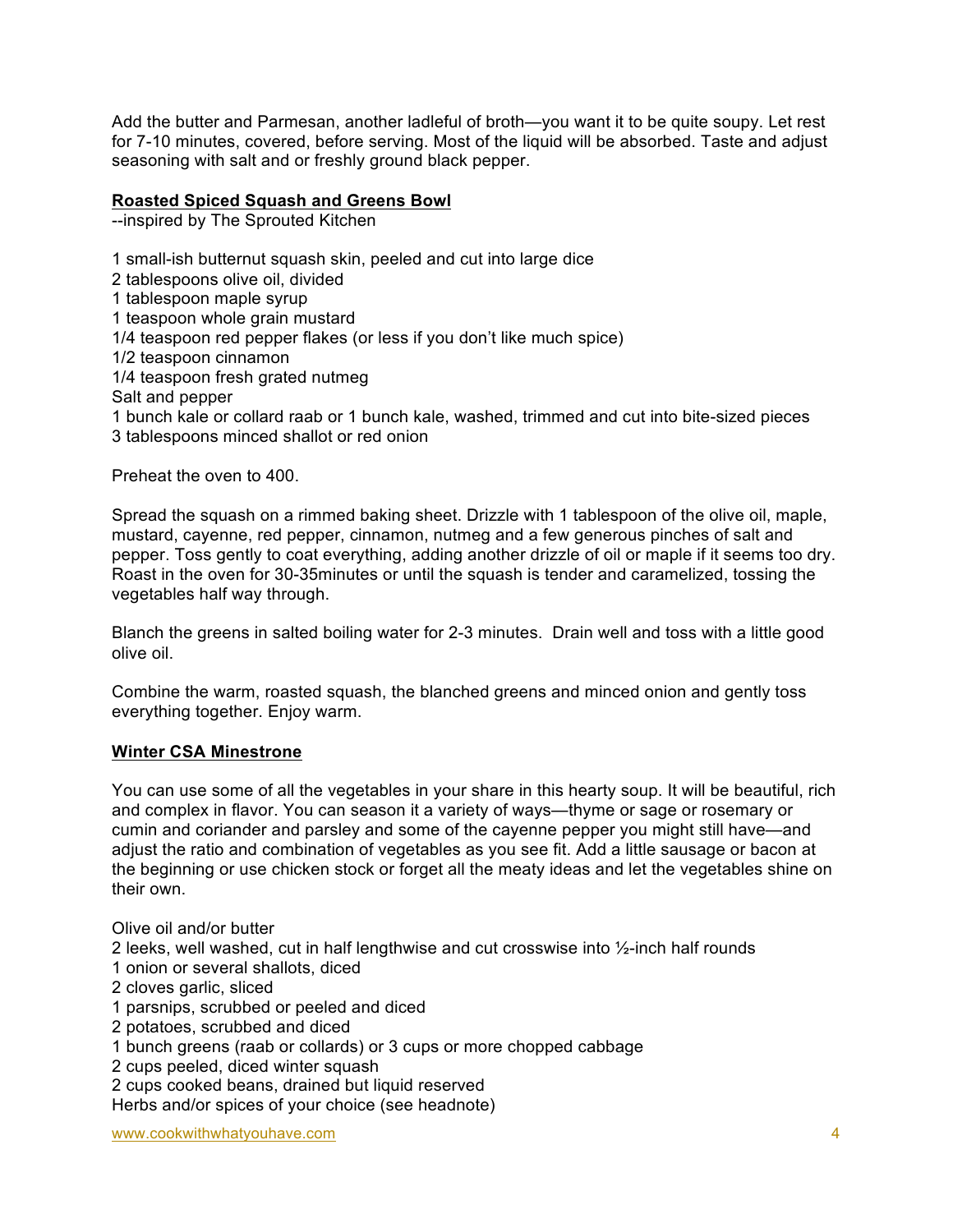Add the butter and Parmesan, another ladleful of broth—you want it to be quite soupy. Let rest for 7-10 minutes, covered, before serving. Most of the liquid will be absorbed. Taste and adjust seasoning with salt and or freshly ground black pepper.

### **Roasted Spiced Squash and Greens Bowl**

--inspired by The Sprouted Kitchen

1 small-ish butternut squash skin, peeled and cut into large dice 2 tablespoons olive oil, divided 1 tablespoon maple syrup 1 teaspoon whole grain mustard 1/4 teaspoon red pepper flakes (or less if you don't like much spice) 1/2 teaspoon cinnamon 1/4 teaspoon fresh grated nutmeg Salt and pepper 1 bunch kale or collard raab or 1 bunch kale, washed, trimmed and cut into bite-sized pieces 3 tablespoons minced shallot or red onion

Preheat the oven to 400.

Spread the squash on a rimmed baking sheet. Drizzle with 1 tablespoon of the olive oil, maple, mustard, cayenne, red pepper, cinnamon, nutmeg and a few generous pinches of salt and pepper. Toss gently to coat everything, adding another drizzle of oil or maple if it seems too dry. Roast in the oven for 30-35minutes or until the squash is tender and caramelized, tossing the vegetables half way through.

Blanch the greens in salted boiling water for 2-3 minutes. Drain well and toss with a little good olive oil.

Combine the warm, roasted squash, the blanched greens and minced onion and gently toss everything together. Enjoy warm.

### **Winter CSA Minestrone**

You can use some of all the vegetables in your share in this hearty soup. It will be beautiful, rich and complex in flavor. You can season it a variety of ways—thyme or sage or rosemary or cumin and coriander and parsley and some of the cayenne pepper you might still have—and adjust the ratio and combination of vegetables as you see fit. Add a little sausage or bacon at the beginning or use chicken stock or forget all the meaty ideas and let the vegetables shine on their own.

Olive oil and/or butter 2 leeks, well washed, cut in half lengthwise and cut crosswise into  $\frac{1}{2}$ -inch half rounds 1 onion or several shallots, diced 2 cloves garlic, sliced 1 parsnips, scrubbed or peeled and diced 2 potatoes, scrubbed and diced 1 bunch greens (raab or collards) or 3 cups or more chopped cabbage 2 cups peeled, diced winter squash 2 cups cooked beans, drained but liquid reserved Herbs and/or spices of your choice (see headnote)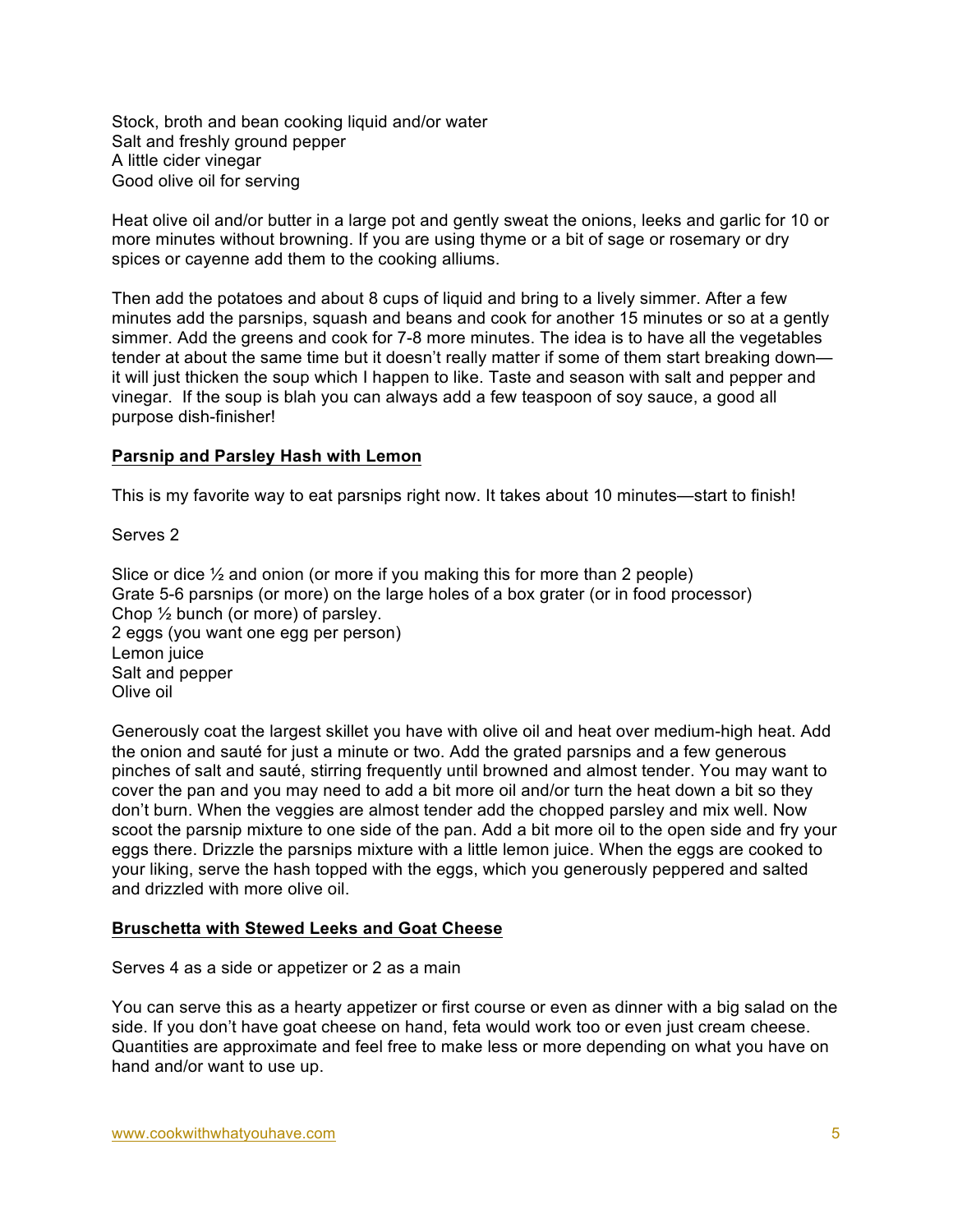Stock, broth and bean cooking liquid and/or water Salt and freshly ground pepper A little cider vinegar Good olive oil for serving

Heat olive oil and/or butter in a large pot and gently sweat the onions, leeks and garlic for 10 or more minutes without browning. If you are using thyme or a bit of sage or rosemary or dry spices or cayenne add them to the cooking alliums.

Then add the potatoes and about 8 cups of liquid and bring to a lively simmer. After a few minutes add the parsnips, squash and beans and cook for another 15 minutes or so at a gently simmer. Add the greens and cook for 7-8 more minutes. The idea is to have all the vegetables tender at about the same time but it doesn't really matter if some of them start breaking down it will just thicken the soup which I happen to like. Taste and season with salt and pepper and vinegar. If the soup is blah you can always add a few teaspoon of soy sauce, a good all purpose dish-finisher!

### **Parsnip and Parsley Hash with Lemon**

This is my favorite way to eat parsnips right now. It takes about 10 minutes—start to finish!

Serves 2

Slice or dice  $\frac{1}{2}$  and onion (or more if you making this for more than 2 people) Grate 5-6 parsnips (or more) on the large holes of a box grater (or in food processor) Chop ½ bunch (or more) of parsley. 2 eggs (you want one egg per person) Lemon juice Salt and pepper Olive oil

Generously coat the largest skillet you have with olive oil and heat over medium-high heat. Add the onion and sauté for just a minute or two. Add the grated parsnips and a few generous pinches of salt and sauté, stirring frequently until browned and almost tender. You may want to cover the pan and you may need to add a bit more oil and/or turn the heat down a bit so they don't burn. When the veggies are almost tender add the chopped parsley and mix well. Now scoot the parsnip mixture to one side of the pan. Add a bit more oil to the open side and fry your eggs there. Drizzle the parsnips mixture with a little lemon juice. When the eggs are cooked to your liking, serve the hash topped with the eggs, which you generously peppered and salted and drizzled with more olive oil.

### **Bruschetta with Stewed Leeks and Goat Cheese**

Serves 4 as a side or appetizer or 2 as a main

You can serve this as a hearty appetizer or first course or even as dinner with a big salad on the side. If you don't have goat cheese on hand, feta would work too or even just cream cheese. Quantities are approximate and feel free to make less or more depending on what you have on hand and/or want to use up.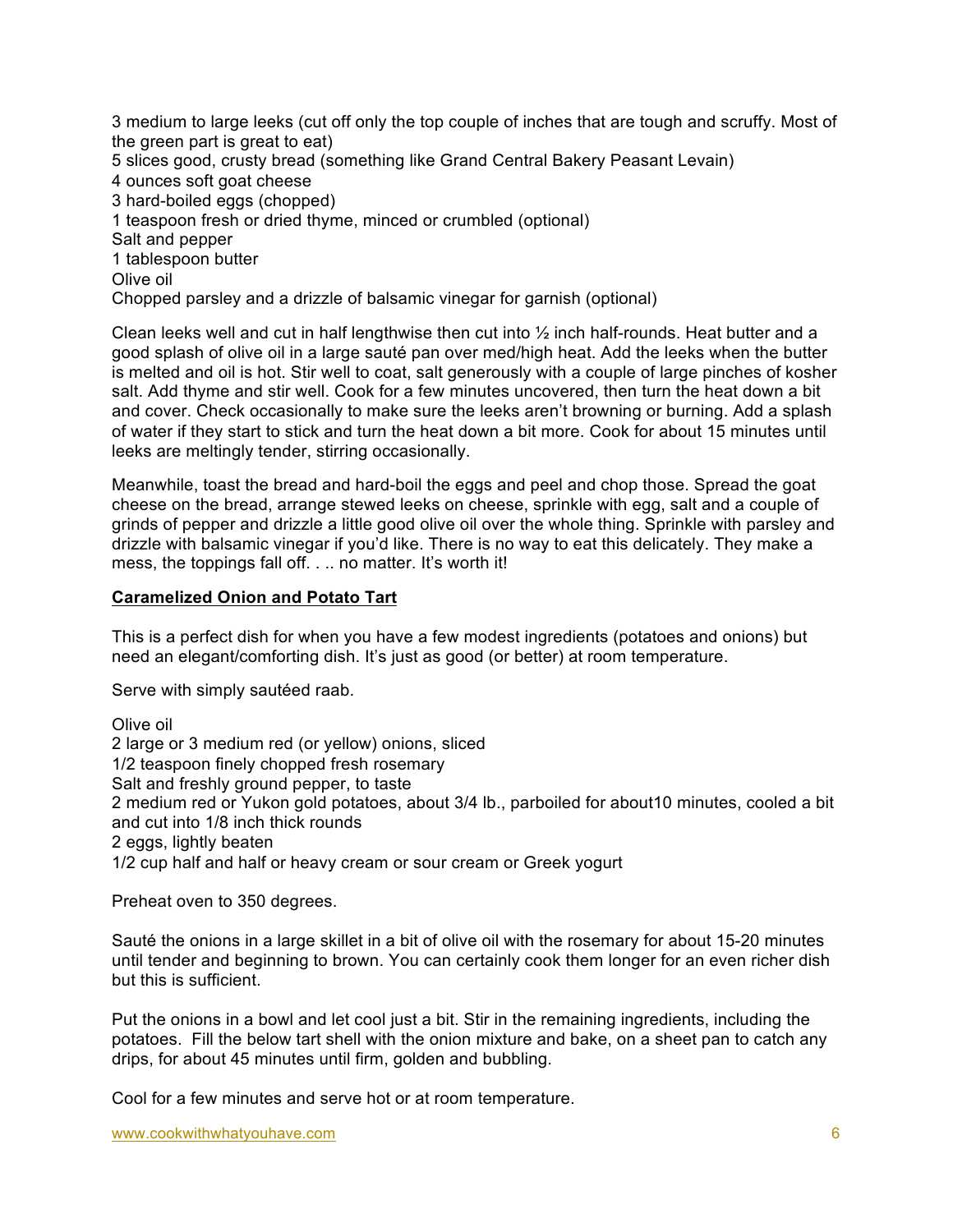3 medium to large leeks (cut off only the top couple of inches that are tough and scruffy. Most of the green part is great to eat) 5 slices good, crusty bread (something like Grand Central Bakery Peasant Levain) 4 ounces soft goat cheese 3 hard-boiled eggs (chopped) 1 teaspoon fresh or dried thyme, minced or crumbled (optional) Salt and pepper 1 tablespoon butter Olive oil Chopped parsley and a drizzle of balsamic vinegar for garnish (optional)

Clean leeks well and cut in half lengthwise then cut into ½ inch half-rounds. Heat butter and a good splash of olive oil in a large sauté pan over med/high heat. Add the leeks when the butter is melted and oil is hot. Stir well to coat, salt generously with a couple of large pinches of kosher salt. Add thyme and stir well. Cook for a few minutes uncovered, then turn the heat down a bit and cover. Check occasionally to make sure the leeks aren't browning or burning. Add a splash of water if they start to stick and turn the heat down a bit more. Cook for about 15 minutes until leeks are meltingly tender, stirring occasionally.

Meanwhile, toast the bread and hard-boil the eggs and peel and chop those. Spread the goat cheese on the bread, arrange stewed leeks on cheese, sprinkle with egg, salt and a couple of grinds of pepper and drizzle a little good olive oil over the whole thing. Sprinkle with parsley and drizzle with balsamic vinegar if you'd like. There is no way to eat this delicately. They make a mess, the toppings fall off. . . . no matter. It's worth it!

### **Caramelized Onion and Potato Tart**

This is a perfect dish for when you have a few modest ingredients (potatoes and onions) but need an elegant/comforting dish. It's just as good (or better) at room temperature.

Serve with simply sautéed raab.

Olive oil 2 large or 3 medium red (or yellow) onions, sliced 1/2 teaspoon finely chopped fresh rosemary Salt and freshly ground pepper, to taste 2 medium red or Yukon gold potatoes, about 3/4 lb., parboiled for about10 minutes, cooled a bit and cut into 1/8 inch thick rounds 2 eggs, lightly beaten 1/2 cup half and half or heavy cream or sour cream or Greek yogurt

Preheat oven to 350 degrees.

Sauté the onions in a large skillet in a bit of olive oil with the rosemary for about 15-20 minutes until tender and beginning to brown. You can certainly cook them longer for an even richer dish but this is sufficient.

Put the onions in a bowl and let cool just a bit. Stir in the remaining ingredients, including the potatoes. Fill the below tart shell with the onion mixture and bake, on a sheet pan to catch any drips, for about 45 minutes until firm, golden and bubbling.

Cool for a few minutes and serve hot or at room temperature.